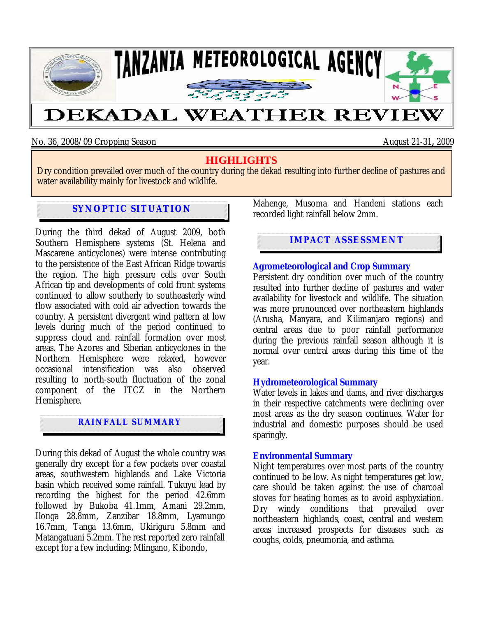

No. 36, 2008/09 Cropping Season August 21-31**,** 2009

# **HIGHLIGHTS**

Dry condition prevailed over much of the country during the dekad resulting into further decline of pastures and water availability mainly for livestock and wildlife.

# **SYNOPTIC SITUATION**

During the third dekad of August 2009, both Southern Hemisphere systems (St. Helena and Mascarene anticyclones) were intense contributing to the persistence of the East African Ridge towards the region. The high pressure cells over South African tip and developments of cold front systems continued to allow southerly to southeasterly wind flow associated with cold air advection towards the country. A persistent divergent wind pattern at low levels during much of the period continued to suppress cloud and rainfall formation over most areas. The Azores and Siberian anticyclones in the Northern Hemisphere were relaxed, however occasional intensification was also observed resulting to north-south fluctuation of the zonal component of the ITCZ in the Northern Hemisphere.

## **RAINFALL SUMMARY**

During this dekad of August the whole country was generally dry except for a few pockets over coastal areas, southwestern highlands and Lake Victoria basin which received some rainfall. Tukuyu lead by recording the highest for the period 42.6mm followed by Bukoba 41.1mm, Amani 29.2mm, Ilonga 28.8mm, Zanzibar 18.8mm, Lyamungo 16.7mm, Tanga 13.6mm, Ukiriguru 5.8mm and Matangatuani 5.2mm. The rest reported zero rainfall except for a few including; Mlingano, Kibondo,

Mahenge, Musoma and Handeni stations each recorded light rainfall below 2mm.

# **IMPACT ASSESSMENT**

#### **Agrometeorological and Crop Summary**

Persistent dry condition over much of the country resulted into further decline of pastures and water availability for livestock and wildlife. The situation was more pronounced over northeastern highlands (Arusha, Manyara, and Kilimanjaro regions) and central areas due to poor rainfall performance during the previous rainfall season although it is normal over central areas during this time of the year.

### **Hydrometeorological Summary**

Water levels in lakes and dams, and river discharges in their respective catchments were declining over most areas as the dry season continues. Water for industrial and domestic purposes should be used sparingly.

#### **Environmental Summary**

Night temperatures over most parts of the country continued to be low. As night temperatures get low, care should be taken against the use of charcoal stoves for heating homes as to avoid asphyxiation. Dry windy conditions that prevailed over northeastern highlands, coast, central and western areas increased prospects for diseases such as coughs, colds, pneumonia, and asthma.